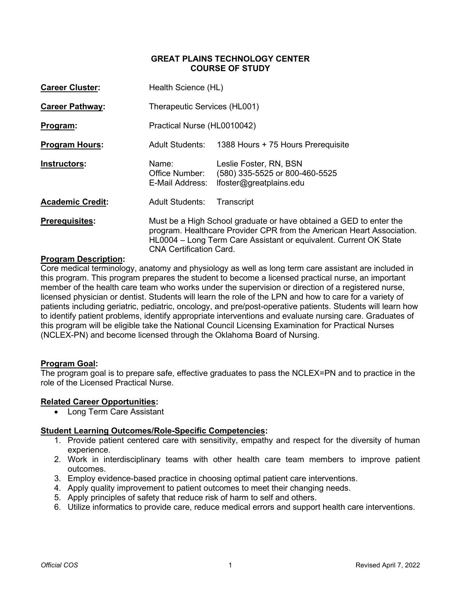# **GREAT PLAINS TECHNOLOGY CENTER COURSE OF STUDY**

| <b>Career Cluster:</b>  | Health Science (HL)                                                                                                                                                                                                                                |                                                                                     |  |
|-------------------------|----------------------------------------------------------------------------------------------------------------------------------------------------------------------------------------------------------------------------------------------------|-------------------------------------------------------------------------------------|--|
| <b>Career Pathway:</b>  | Therapeutic Services (HL001)                                                                                                                                                                                                                       |                                                                                     |  |
| Program:                | Practical Nurse (HL0010042)                                                                                                                                                                                                                        |                                                                                     |  |
| <b>Program Hours:</b>   |                                                                                                                                                                                                                                                    | Adult Students: 1388 Hours + 75 Hours Prerequisite                                  |  |
| Instructors:            | Name:<br>Office Number:<br>E-Mail Address:                                                                                                                                                                                                         | Leslie Foster, RN, BSN<br>(580) 335-5525 or 800-460-5525<br>lfoster@greatplains.edu |  |
| <b>Academic Credit:</b> | <b>Adult Students:</b>                                                                                                                                                                                                                             | Transcript                                                                          |  |
| <b>Prerequisites:</b>   | Must be a High School graduate or have obtained a GED to enter the<br>program. Healthcare Provider CPR from the American Heart Association.<br>HL0004 – Long Term Care Assistant or equivalent. Current OK State<br><b>CNA Certification Card.</b> |                                                                                     |  |

# **Program Description:**

Core medical terminology, anatomy and physiology as well as long term care assistant are included in this program. This program prepares the student to become a licensed practical nurse, an important member of the health care team who works under the supervision or direction of a registered nurse, licensed physician or dentist. Students will learn the role of the LPN and how to care for a variety of patients including geriatric, pediatric, oncology, and pre/post-operative patients. Students will learn how to identify patient problems, identify appropriate interventions and evaluate nursing care. Graduates of this program will be eligible take the National Council Licensing Examination for Practical Nurses (NCLEX-PN) and become licensed through the Oklahoma Board of Nursing.

#### **Program Goal:**

The program goal is to prepare safe, effective graduates to pass the NCLEX=PN and to practice in the role of the Licensed Practical Nurse.

# **Related Career Opportunities:**

• Long Term Care Assistant

# **Student Learning Outcomes/Role-Specific Competencies:**

- 1. Provide patient centered care with sensitivity, empathy and respect for the diversity of human experience.
- 2. Work in interdisciplinary teams with other health care team members to improve patient outcomes.
- 3. Employ evidence-based practice in choosing optimal patient care interventions.
- 4. Apply quality improvement to patient outcomes to meet their changing needs.
- 5. Apply principles of safety that reduce risk of harm to self and others.
- 6. Utilize informatics to provide care, reduce medical errors and support health care interventions.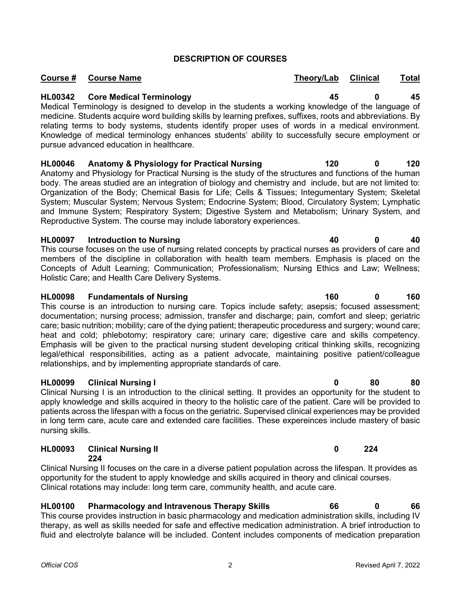# **DESCRIPTION OF COURSES**

# **HL00342 Core Medical Terminology 45 0 45**

Medical Terminology is designed to develop in the students a working knowledge of the language of medicine. Students acquire word building skills by learning prefixes, suffixes, roots and abbreviations. By relating terms to body systems, students identify proper uses of words in a medical environment. Knowledge of medical terminology enhances students' ability to successfully secure employment or pursue advanced education in healthcare.

**HL00046 Anatomy & Physiology for Practical Nursing 120 0 120**

Anatomy and Physiology for Practical Nursing is the study of the structures and functions of the human body. The areas studied are an integration of biology and chemistry and include, but are not limited to: Organization of the Body; Chemical Basis for Life; Cells & Tissues; Integumentary System; Skeletal System; Muscular System; Nervous System; Endocrine System; Blood, Circulatory System; Lymphatic and Immune System; Respiratory System; Digestive System and Metabolism; Urinary System, and Reproductive System. The course may include laboratory experiences.

# **HL00097 Introduction to Nursing 40 0 40**

This course focuses on the use of nursing related concepts by practical nurses as providers of care and members of the discipline in collaboration with health team members. Emphasis is placed on the Concepts of Adult Learning; Communication; Professionalism; Nursing Ethics and Law; Wellness; Holistic Care; and Health Care Delivery Systems.

# **HL00098 Fundamentals of Nursing 160 0 160**

This course is an introduction to nursing care. Topics include safety; asepsis; focused assessment; documentation; nursing process; admission, transfer and discharge; pain, comfort and sleep; geriatric care; basic nutrition; mobility; care of the dying patient; therapeutic proceduress and surgery; wound care; heat and cold; phlebotomy; respiratory care; urinary care; digestive care and skills competency. Emphasis will be given to the practical nursing student developing critical thinking skills, recognizing legal/ethical responsibilities, acting as a patient advocate, maintaining positive patient/colleague relationships, and by implementing appropriate standards of care.

# **HL00099 Clinical Nursing I 0 80 80**

Clinical Nursing I is an introduction to the clinical setting. It provides an opportunity for the student to apply knowledge and skills acquired in theory to the holistic care of the patient. Care will be provided to patients across the lifespan with a focus on the geriatric. Supervised clinical experiences may be provided in long term care, acute care and extended care facilities. These expereinces include mastery of basic nursing skills.

# **HL00093 Clinical Nursing II 0 224 224**

Clinical Nursing II focuses on the care in a diverse patient population across the lifespan. It provides as opportunity for the student to apply knowledge and skills acquired in theory and clinical courses. Clinical rotations may include: long term care, community health, and acute care.

# **HL00100 Pharmacology and Intravenous Therapy Skills 66 0 66**

This course provides instruction in basic pharmacology and medication administration skills, including IV therapy, as well as skills needed for safe and effective medication administration. A brief introduction to fluid and electrolyte balance will be included. Content includes components of medication preparation

**Course # Course Name Theory/Lab Clinical Total**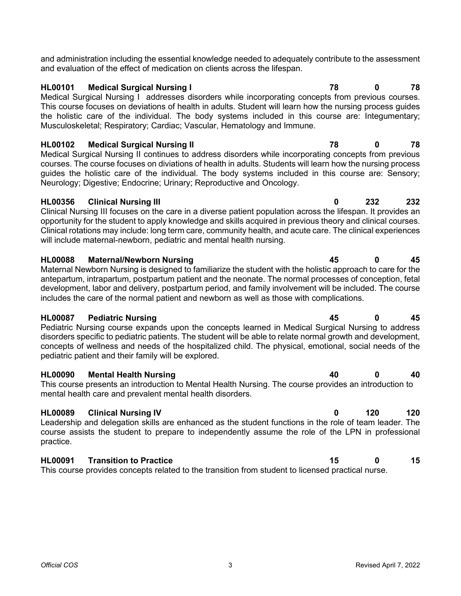and administration including the essential knowledge needed to adequately contribute to the assessment and evaluation of the effect of medication on clients across the lifespan.

# **HL00101 Medical Surgical Nursing I 78 0 78**

Medical Surgical Nursing I addresses disorders while incorporating concepts from previous courses. This course focuses on deviations of health in adults. Student will learn how the nursing process guides the holistic care of the individual. The body systems included in this course are: Integumentary; Musculoskeletal; Respiratory; Cardiac; Vascular, Hematology and Immune.

**HL00102 Medical Surgical Nursing II 78 0 78** Medical Surgical Nursing II continues to address disorders while incorporating concepts from previous courses. The course focuses on diviations of health in adults. Students will learn how the nursing process guides the holistic care of the individual. The body systems included in this course are: Sensory; Neurology; Digestive; Endocrine; Urinary; Reproductive and Oncology.

# **HL00356 Clinical Nursing III 0 232 232**

Clinical Nursing III focuses on the care in a diverse patient population across the lifespan. It provides an opportunity for the student to apply knowledge and skills acquired in previous theory and clinical courses. Clinical rotations may include: long term care, community health, and acute care. The clinical experiences will include maternal-newborn, pediatric and mental health nursing.

# **HL00088 Maternal/Newborn Nursing 45 0 45**

Maternal Newborn Nursing is designed to familiarize the student with the holistic approach to care for the antepartum, intrapartum, postpartum patient and the neonate. The normal processes of conception, fetal development, labor and delivery, postpartum period, and family involvement will be included. The course includes the care of the normal patient and newborn as well as those with complications.

# **HL00087 Pediatric Nursing 45 0 45**

Pediatric Nursing course expands upon the concepts learned in Medical Surgical Nursing to address disorders specific to pediatric patients. The student will be able to relate normal growth and development, concepts of wellness and needs of the hospitalized child. The physical, emotional, social needs of the pediatric patient and their family will be explored.

# **HL00090 Mental Health Nursing 40 0 40**

This course presents an introduction to Mental Health Nursing. The course provides an introduction to mental health care and prevalent mental health disorders.

# **HL00089 Clinical Nursing IV 0 120 120**

Leadership and delegation skills are enhanced as the student functions in the role of team leader. The course assists the student to prepare to independently assume the role of the LPN in professional practice.

# **HL00091 Transition to Practice 15 0 15**

This course provides concepts related to the transition from student to licensed practical nurse.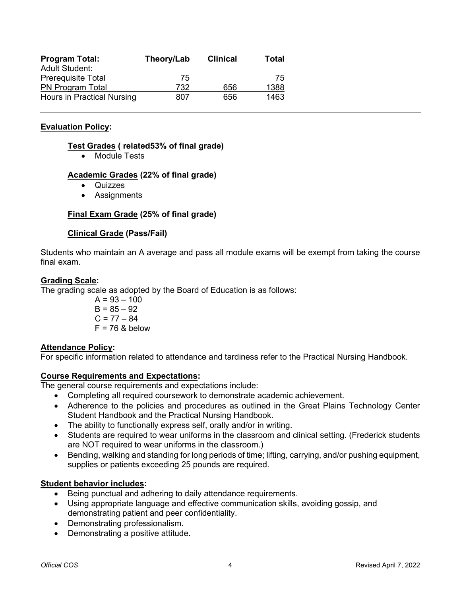| <b>Program Total:</b>      | Theory/Lab | <b>Clinical</b> | Total |
|----------------------------|------------|-----------------|-------|
| <b>Adult Student:</b>      |            |                 |       |
| Prerequisite Total         | 75         |                 | 75    |
| <b>PN Program Total</b>    | 732        | 656             | 1388  |
| Hours in Practical Nursing | 807        | 656             | 1463  |

# **Evaluation Policy:**

# **Test Grades ( related53% of final grade)**

• Module Tests

# **Academic Grades (22% of final grade)**

- **Quizzes**
- Assignments

# **Final Exam Grade (25% of final grade)**

# **Clinical Grade (Pass/Fail)**

Students who maintain an A average and pass all module exams will be exempt from taking the course final exam.

#### **Grading Scale:**

The grading scale as adopted by the Board of Education is as follows:

$$
A = 93 - 100
$$
  
B = 85 - 92  
C = 77 - 84  
F = 76 & below

#### **Attendance Policy:**

For specific information related to attendance and tardiness refer to the Practical Nursing Handbook.

#### **Course Requirements and Expectations:**

The general course requirements and expectations include:

- Completing all required coursework to demonstrate academic achievement.
- Adherence to the policies and procedures as outlined in the Great Plains Technology Center Student Handbook and the Practical Nursing Handbook.
- The ability to functionally express self, orally and/or in writing.
- Students are required to wear uniforms in the classroom and clinical setting. (Frederick students are NOT required to wear uniforms in the classroom.)
- Bending, walking and standing for long periods of time; lifting, carrying, and/or pushing equipment, supplies or patients exceeding 25 pounds are required.

### **Student behavior includes:**

- Being punctual and adhering to daily attendance requirements.
- Using appropriate language and effective communication skills, avoiding gossip, and demonstrating patient and peer confidentiality.
- Demonstrating professionalism.
- Demonstrating a positive attitude.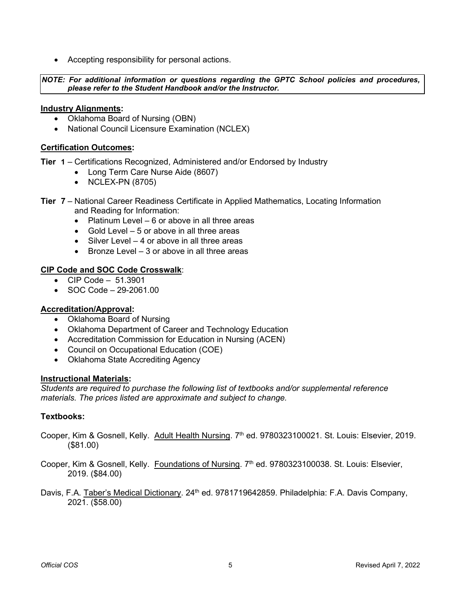• Accepting responsibility for personal actions.

*NOTE: For additional information or questions regarding the GPTC School policies and procedures, please refer to the Student Handbook and/or the Instructor.*

### **Industry Alignments:**

- Oklahoma Board of Nursing (OBN)
- National Council Licensure Examination (NCLEX)

# **Certification Outcomes:**

**Tier 1** – Certifications Recognized, Administered and/or Endorsed by Industry

- Long Term Care Nurse Aide (8607)
- NCLEX-PN (8705)
- **Tier 7** National Career Readiness Certificate in Applied Mathematics, Locating Information and Reading for Information:
	- Platinum Level 6 or above in all three areas
	- Gold Level 5 or above in all three areas
	- Silver Level 4 or above in all three areas
	- Bronze Level 3 or above in all three areas

# **CIP Code and SOC Code Crosswalk**:

- CIP Code 51.3901
- SOC Code 29-2061.00

# **Accreditation/Approval:**

- Oklahoma Board of Nursing
- Oklahoma Department of Career and Technology Education
- Accreditation Commission for Education in Nursing (ACEN)
- Council on Occupational Education (COE)
- Oklahoma State Accrediting Agency

#### **Instructional Materials:**

*Students are required to purchase the following list of textbooks and/or supplemental reference materials. The prices listed are approximate and subject to change.*

# **Textbooks:**

- Cooper, Kim & Gosnell, Kelly. Adult Health Nursing. 7<sup>th</sup> ed. 9780323100021. St. Louis: Elsevier, 2019. (\$81.00)
- Cooper, Kim & Gosnell, Kelly. Foundations of Nursing. 7<sup>th</sup> ed. 9780323100038. St. Louis: Elsevier, 2019. (\$84.00)
- Davis, F.A. Taber's Medical Dictionary. 24<sup>th</sup> ed. 9781719642859. Philadelphia: F.A. Davis Company, 2021. (\$58.00)